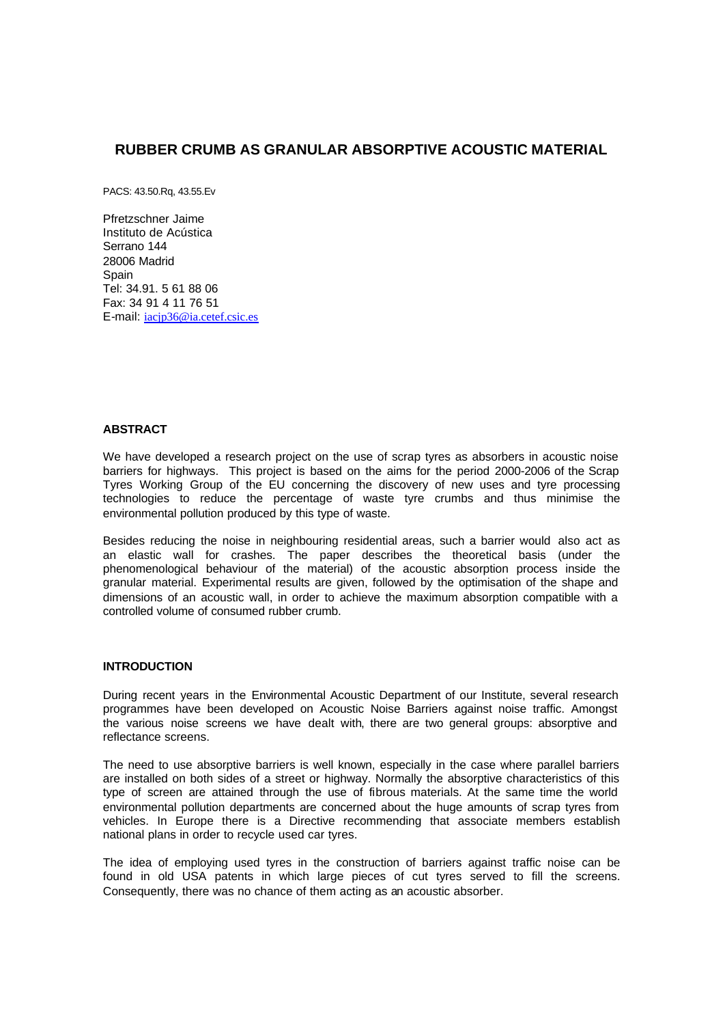# **RUBBER CRUMB AS GRANULAR ABSORPTIVE ACOUSTIC MATERIAL**

PACS: 43.50.Rq, 43.55.Ev

Pfretzschner Jaime Instituto de Acústica Serrano 144 28006 Madrid **Spain** Tel: 34.91. 5 61 88 06 Fax: 34 91 4 11 76 51 E-mail: iacjp36@ia.cetef.csic.es

## **ABSTRACT**

We have developed a research project on the use of scrap tyres as absorbers in acoustic noise barriers for highways. This project is based on the aims for the period 2000-2006 of the Scrap Tyres Working Group of the EU concerning the discovery of new uses and tyre processing technologies to reduce the percentage of waste tyre crumbs and thus minimise the environmental pollution produced by this type of waste.

Besides reducing the noise in neighbouring residential areas, such a barrier would also act as an elastic wall for crashes. The paper describes the theoretical basis (under the phenomenological behaviour of the material) of the acoustic absorption process inside the granular material. Experimental results are given, followed by the optimisation of the shape and dimensions of an acoustic wall, in order to achieve the maximum absorption compatible with a controlled volume of consumed rubber crumb.

#### **INTRODUCTION**

During recent years in the Environmental Acoustic Department of our Institute, several research programmes have been developed on Acoustic Noise Barriers against noise traffic. Amongst the various noise screens we have dealt with, there are two general groups: absorptive and reflectance screens.

The need to use absorptive barriers is well known, especially in the case where parallel barriers are installed on both sides of a street or highway. Normally the absorptive characteristics of this type of screen are attained through the use of fibrous materials. At the same time the world environmental pollution departments are concerned about the huge amounts of scrap tyres from vehicles. In Europe there is a Directive recommending that associate members establish national plans in order to recycle used car tyres.

The idea of employing used tyres in the construction of barriers against traffic noise can be found in old USA patents in which large pieces of cut tyres served to fill the screens. Consequently, there was no chance of them acting as an acoustic absorber.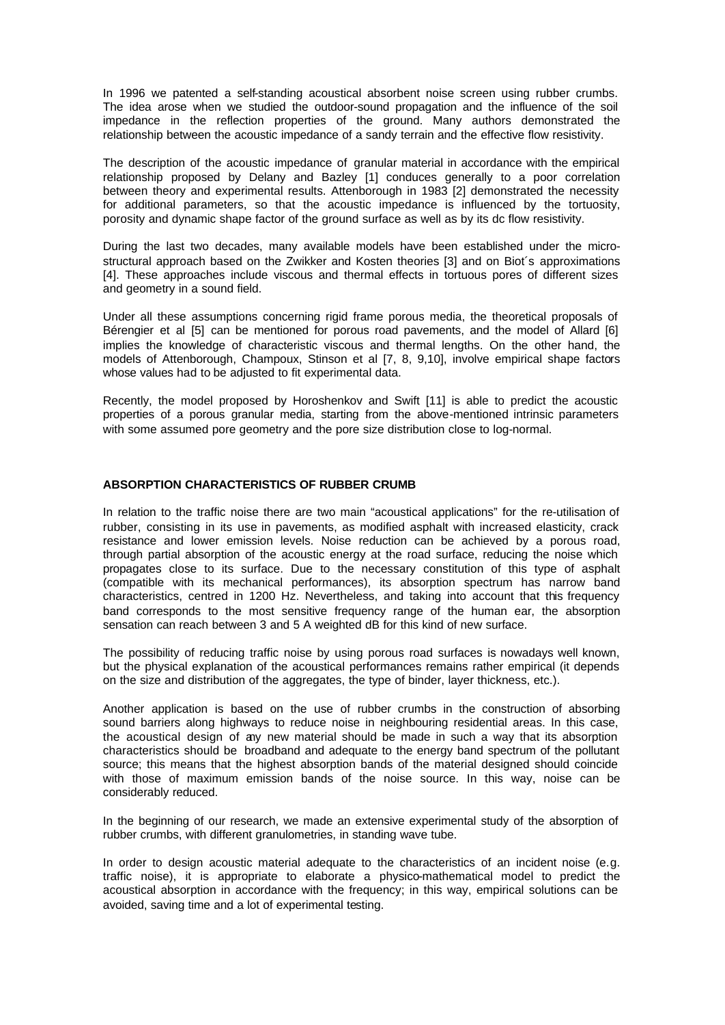In 1996 we patented a self-standing acoustical absorbent noise screen using rubber crumbs. The idea arose when we studied the outdoor-sound propagation and the influence of the soil impedance in the reflection properties of the ground. Many authors demonstrated the relationship between the acoustic impedance of a sandy terrain and the effective flow resistivity.

The description of the acoustic impedance of granular material in accordance with the empirical relationship proposed by Delany and Bazley [1] conduces generally to a poor correlation between theory and experimental results. Attenborough in 1983 [2] demonstrated the necessity for additional parameters, so that the acoustic impedance is influenced by the tortuosity, porosity and dynamic shape factor of the ground surface as well as by its dc flow resistivity.

During the last two decades, many available models have been established under the microstructural approach based on the Zwikker and Kosten theories [3] and on Biot´s approximations [4]. These approaches include viscous and thermal effects in tortuous pores of different sizes and geometry in a sound field.

Under all these assumptions concerning rigid frame porous media, the theoretical proposals of Bérengier et al [5] can be mentioned for porous road pavements, and the model of Allard [6] implies the knowledge of characteristic viscous and thermal lengths. On the other hand, the models of Attenborough, Champoux, Stinson et al [7, 8, 9,10], involve empirical shape factors whose values had to be adjusted to fit experimental data.

Recently, the model proposed by Horoshenkov and Swift [11] is able to predict the acoustic properties of a porous granular media, starting from the above-mentioned intrinsic parameters with some assumed pore geometry and the pore size distribution close to log-normal.

### **ABSORPTION CHARACTERISTICS OF RUBBER CRUMB**

In relation to the traffic noise there are two main "acoustical applications" for the re-utilisation of rubber, consisting in its use in pavements, as modified asphalt with increased elasticity, crack resistance and lower emission levels. Noise reduction can be achieved by a porous road, through partial absorption of the acoustic energy at the road surface, reducing the noise which propagates close to its surface. Due to the necessary constitution of this type of asphalt (compatible with its mechanical performances), its absorption spectrum has narrow band characteristics, centred in 1200 Hz. Nevertheless, and taking into account that this frequency band corresponds to the most sensitive frequency range of the human ear, the absorption sensation can reach between 3 and 5 A weighted dB for this kind of new surface.

The possibility of reducing traffic noise by using porous road surfaces is nowadays well known, but the physical explanation of the acoustical performances remains rather empirical (it depends on the size and distribution of the aggregates, the type of binder, layer thickness, etc.).

Another application is based on the use of rubber crumbs in the construction of absorbing sound barriers along highways to reduce noise in neighbouring residential areas. In this case, the acoustical design of any new material should be made in such a way that its absorption characteristics should be broadband and adequate to the energy band spectrum of the pollutant source; this means that the highest absorption bands of the material designed should coincide with those of maximum emission bands of the noise source. In this way, noise can be considerably reduced.

In the beginning of our research, we made an extensive experimental study of the absorption of rubber crumbs, with different granulometries, in standing wave tube.

In order to design acoustic material adequate to the characteristics of an incident noise (e.g. traffic noise), it is appropriate to elaborate a physico-mathematical model to predict the acoustical absorption in accordance with the frequency; in this way, empirical solutions can be avoided, saving time and a lot of experimental testing.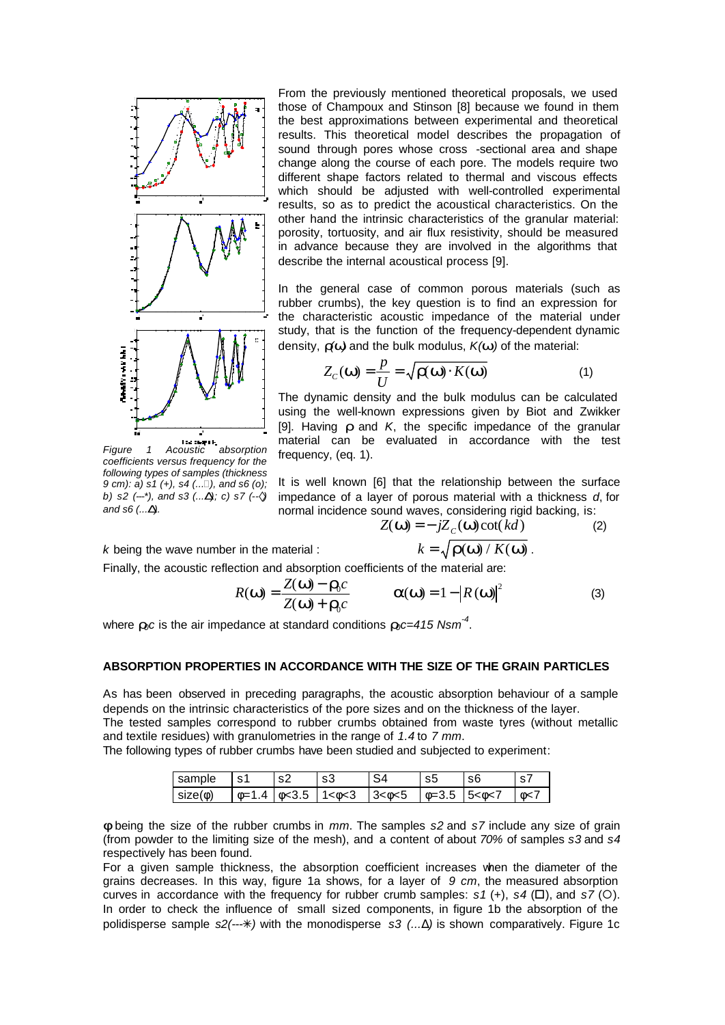

From the previously mentioned theoretical proposals, we used those of Champoux and Stinson [8] because we found in them the best approximations between experimental and theoretical results. This theoretical model describes the propagation of sound through pores whose cross -sectional area and shape change along the course of each pore. The models require two different shape factors related to thermal and viscous effects which should be adjusted with well-controlled experimental results, so as to predict the acoustical characteristics. On the other hand the intrinsic characteristics of the granular material: porosity, tortuosity, and air flux resistivity, should be measured in advance because they are involved in the algorithms that describe the internal acoustical process [9].

In the general case of common porous materials (such as rubber crumbs), the key question is to find an expression for the characteristic acoustic impedance of the material under study, that is the function of the frequency-dependent dynamic density, *r(w)* and the bulk modulus, *K(w )* of the material:

$$
Z_C(\mathbf{w}) = \frac{p}{U} = \sqrt{\mathbf{r}(\mathbf{w}) \cdot K(\mathbf{w})}
$$
(1)

The dynamic density and the bulk modulus can be calculated using the well-known expressions given by Biot and Zwikker [9]. Having *r* and *K*, the specific impedance of the granular material can be evaluated in accordance with the test frequency, (eq. 1).

*Figure 1 Acoustic absorption coefficients versus frequency for the following types of samples (thickness 9 cm): a) s1 (+), s4 (...*D*), and s6 (o); b) s2 (---\*), and s3 (...D); c) s7 (--à) and s6 (...D).*

It is well known [6] that the relationship between the surface impedance of a layer of porous material with a thickness *d*, for normal incidence sound waves, considering rigid backing, is:

$$
Z(\mathbf{w}) = -jZ_c(\mathbf{w}) \cot(kd) \tag{2}
$$
  
erial : 
$$
k = \sqrt{\mathbf{r}(\mathbf{w}) / K(\mathbf{w})}
$$

*k* being the wave number in the material :

Finally, the acoustic reflection and absorption coefficients of the material are:

$$
R(\mathbf{w}) = \frac{Z(\mathbf{w}) - \mathbf{r}_0 c}{Z(\mathbf{w}) + \mathbf{r}_0 c} \qquad \qquad \mathbf{a}(\mathbf{w}) = 1 - \left| R(\mathbf{w}) \right|^2 \tag{3}
$$

where *r0c* is the air impedance at standard conditions *r0c=415 Nsm-4* .

#### **ABSORPTION PROPERTIES IN ACCORDANCE WITH THE SIZE OF THE GRAIN PARTICLES**

As has been observed in preceding paragraphs, the acoustic absorption behaviour of a sample depends on the intrinsic characteristics of the pore sizes and on the thickness of the layer.

The tested samples correspond to rubber crumbs obtained from waste tyres (without metallic and textile residues) with granulometries in the range of *1.4* to *7 mm*.

The following types of rubber crumbs have been studied and subjected to experiment:

| sample       | s1           | $\sim$ |                 |           | S5              | sť             |    |
|--------------|--------------|--------|-----------------|-----------|-----------------|----------------|----|
| $size(\phi)$ | $0=1$ .<br>Δ | 10<3.5 | $11 < \phi < 3$ | 3 < 0 < 5 | $\bullet = 3.5$ | $5 < \phi < 7$ | ⊕< |

*f* being the size of the rubber crumbs in *mm*. The samples *s2* and *s7* include any size of grain (from powder to the limiting size of the mesh), and a content of about *70%* of samples *s3* and *s4* respectively has been found.

For a given sample thickness, the absorption coefficient increases when the diameter of the grains decreases. In this way, figure 1a shows, for a layer of *9 cm*, the measured absorption curves in accordance with the frequency for rubber crumb samples:  $s1$  (+),  $s4$  ( $\square$ ), and  $s7$  ( $\bigcirc$ ). In order to check the influence of small sized components, in figure 1b the absorption of the polidisperse sample *s2(---*T*)* with the monodisperse *s3 (...*Δ*)* is shown comparatively. Figure 1c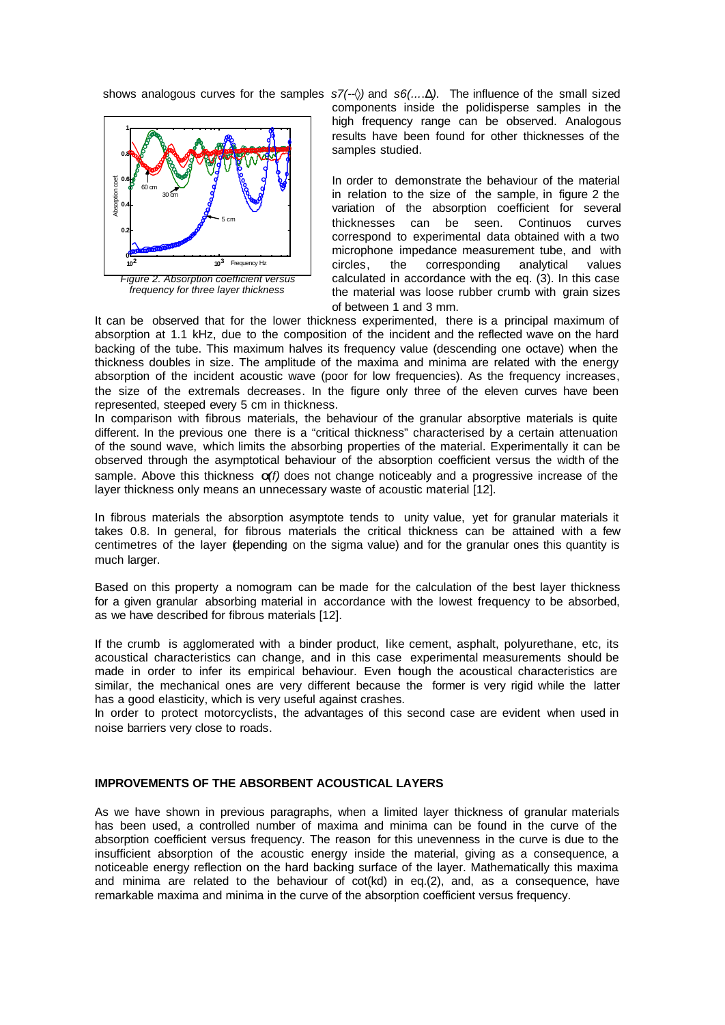

*frequency for three layer thickness*

shows analogous curves for the samples *s7(--*◊*)* and *s6(...*.Δ*)*. The influence of the small sized components inside the polidisperse samples in the high frequency range can be observed. Analogous results have been found for other thicknesses of the samples studied.

> In order to demonstrate the behaviour of the material in relation to the size of the sample, in figure 2 the variation of the absorption coefficient for several thicknesses can be seen. Continuos curves correspond to experimental data obtained with a two microphone impedance measurement tube, and with circles, the corresponding analytical values calculated in accordance with the eq. (3). In this case the material was loose rubber crumb with grain sizes of between 1 and 3 mm.

It can be observed that for the lower thickness experimented, there is a principal maximum of absorption at 1.1 kHz, due to the composition of the incident and the reflected wave on the hard backing of the tube. This maximum halves its frequency value (descending one octave) when the thickness doubles in size. The amplitude of the maxima and minima are related with the energy absorption of the incident acoustic wave (poor for low frequencies). As the frequency increases, the size of the extremals decreases. In the figure only three of the eleven curves have been represented, steeped every 5 cm in thickness.

In comparison with fibrous materials, the behaviour of the granular absorptive materials is quite different. In the previous one there is a "critical thickness" characterised by a certain attenuation of the sound wave, which limits the absorbing properties of the material. Experimentally it can be observed through the asymptotical behaviour of the absorption coefficient versus the width of the sample. Above this thickness *a(f)* does not change noticeably and a progressive increase of the layer thickness only means an unnecessary waste of acoustic material [12].

In fibrous materials the absorption asymptote tends to unity value, yet for granular materials it takes 0.8. In general, for fibrous materials the critical thickness can be attained with a few centimetres of the layer (depending on the sigma value) and for the granular ones this quantity is much larger.

Based on this property a nomogram can be made for the calculation of the best layer thickness for a given granular absorbing material in accordance with the lowest frequency to be absorbed, as we have described for fibrous materials [12].

If the crumb is agglomerated with a binder product, like cement, asphalt, polyurethane, etc, its acoustical characteristics can change, and in this case experimental measurements should be made in order to infer its empirical behaviour. Even though the acoustical characteristics are similar, the mechanical ones are very different because the former is very rigid while the latter has a good elasticity, which is very useful against crashes.

In order to protect motorcyclists, the advantages of this second case are evident when used in noise barriers very close to roads.

### **IMPROVEMENTS OF THE ABSORBENT ACOUSTICAL LAYERS**

As we have shown in previous paragraphs, when a limited layer thickness of granular materials has been used, a controlled number of maxima and minima can be found in the curve of the absorption coefficient versus frequency. The reason for this unevenness in the curve is due to the insufficient absorption of the acoustic energy inside the material, giving as a consequence, a noticeable energy reflection on the hard backing surface of the layer. Mathematically this maxima and minima are related to the behaviour of cot(kd) in eq.(2), and, as a consequence, have remarkable maxima and minima in the curve of the absorption coefficient versus frequency.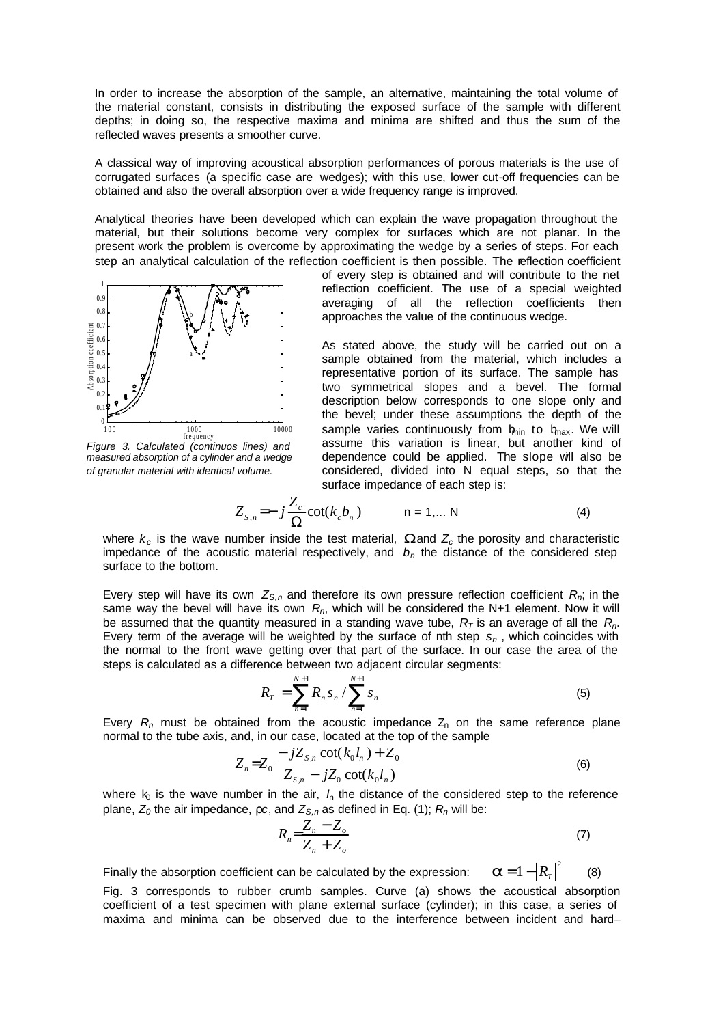In order to increase the absorption of the sample, an alternative, maintaining the total volume of the material constant, consists in distributing the exposed surface of the sample with different depths; in doing so, the respective maxima and minima are shifted and thus the sum of the reflected waves presents a smoother curve.

A classical way of improving acoustical absorption performances of porous materials is the use of corrugated surfaces (a specific case are wedges); with this use, lower cut-off frequencies can be obtained and also the overall absorption over a wide frequency range is improved.

Analytical theories have been developed which can explain the wave propagation throughout the material, but their solutions become very complex for surfaces which are not planar. In the present work the problem is overcome by approximating the wedge by a series of steps. For each step an analytical calculation of the reflection coefficient is then possible. The reflection coefficient



*Figure 3. Calculated (continuos lines) and measured absorption of a cylinder and a wedge of granular material with identical volume.* 

of every step is obtained and will contribute to the net reflection coefficient. The use of a special weighted averaging of all the reflection coefficients then approaches the value of the continuous wedge.

As stated above, the study will be carried out on a sample obtained from the material, which includes a representative portion of its surface. The sample has two symmetrical slopes and a bevel. The formal description below corresponds to one slope only and the bevel; under these assumptions the depth of the sample varies continuously from  $b_{\text{min}}$  to  $b_{\text{max}}$ . We will assume this variation is linear, but another kind of dependence could be applied. The slope will also be considered, divided into N equal steps, so that the surface impedance of each step is:

$$
Z_{s,n} = -j\frac{Z_c}{\Omega}\cot(k_c b_n) \qquad n = 1,... N \qquad (4)
$$

where  $k_c$  is the wave number inside the test material, **W** and  $Z_c$  the porosity and characteristic impedance of the acoustic material respectively, and  $b_n$  the distance of the considered step surface to the bottom.

Every step will have its own  $Z_{s,n}$  and therefore its own pressure reflection coefficient  $R_n$ ; in the same way the bevel will have its own *Rn*, which will be considered the N+1 element. Now it will be assumed that the quantity measured in a standing wave tube,  $R<sub>T</sub>$  is an average of all the  $R<sub>n</sub>$ . Every term of the average will be weighted by the surface of nth step *sn* , which coincides with the normal to the front wave getting over that part of the surface. In our case the area of the steps is calculated as a difference between two adjacent circular segments:

$$
R_T = \sum_{n=1}^{N+1} R_n s_n / \sum_{n=1}^{N+1} s_n
$$
 (5)

Every  $R_n$  must be obtained from the acoustic impedance  $Z_n$  on the same reference plane normal to the tube axis, and, in our case, located at the top of the sample

$$
Z_n = Z_0 - \frac{jZ_{s,n} \cot(k_0 l_n) + Z_0}{Z_{s,n} - jZ_0 \cot(k_0 l_n)}
$$
(6)

where  $k_0$  is the wave number in the air,  $l_0$  the distance of the considered step to the reference plane, *Z0* the air impedance, ρ*c*, and *ZS,n* as defined in Eq. (1); *Rn* will be:

$$
R_n = \frac{Z_n - Z_o}{Z_n + Z_o} \tag{7}
$$

Finally the absorption coefficient can be calculated by the expression:  $a = 1 - |R_T|^2$ (8)

Fig. 3 corresponds to rubber crumb samples. Curve (a) shows the acoustical absorption coefficient of a test specimen with plane external surface (cylinder); in this case, a series of maxima and minima can be observed due to the interference between incident and hard–